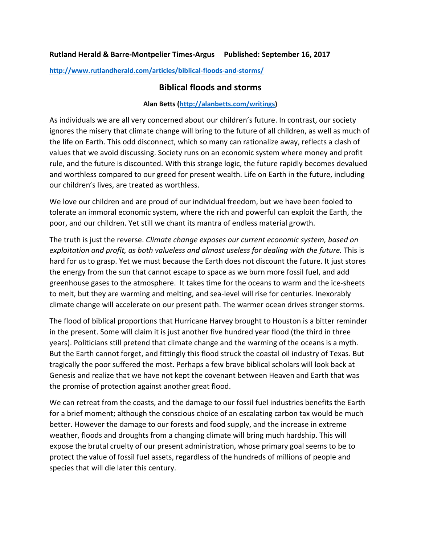## **Rutland Herald & Barre-Montpelier Times-Argus Published: September 16, 2017**

**<http://www.rutlandherald.com/articles/biblical-floods-and-storms/>**

## **Biblical floods and storms**

## **Alan Betts [\(http://alanbetts.com/writings\)](http://alanbetts.com/writings)**

As individuals we are all very concerned about our children's future. In contrast, our society ignores the misery that climate change will bring to the future of all children, as well as much of the life on Earth. This odd disconnect, which so many can rationalize away, reflects a clash of values that we avoid discussing. Society runs on an economic system where money and profit rule, and the future is discounted. With this strange logic, the future rapidly becomes devalued and worthless compared to our greed for present wealth. Life on Earth in the future, including our children's lives, are treated as worthless.

We love our children and are proud of our individual freedom, but we have been fooled to tolerate an immoral economic system, where the rich and powerful can exploit the Earth, the poor, and our children. Yet still we chant its mantra of endless material growth.

The truth is just the reverse. *Climate change exposes our current economic system, based on exploitation and profit, as both valueless and almost useless for dealing with the future.* This is hard for us to grasp. Yet we must because the Earth does not discount the future. It just stores the energy from the sun that cannot escape to space as we burn more fossil fuel, and add greenhouse gases to the atmosphere. It takes time for the oceans to warm and the ice-sheets to melt, but they are warming and melting, and sea-level will rise for centuries. Inexorably climate change will accelerate on our present path. The warmer ocean drives stronger storms.

The flood of biblical proportions that Hurricane Harvey brought to Houston is a bitter reminder in the present. Some will claim it is just another five hundred year flood (the third in three years). Politicians still pretend that climate change and the warming of the oceans is a myth. But the Earth cannot forget, and fittingly this flood struck the coastal oil industry of Texas. But tragically the poor suffered the most. Perhaps a few brave biblical scholars will look back at Genesis and realize that we have not kept the covenant between Heaven and Earth that was the promise of protection against another great flood.

We can retreat from the coasts, and the damage to our fossil fuel industries benefits the Earth for a brief moment; although the conscious choice of an escalating carbon tax would be much better. However the damage to our forests and food supply, and the increase in extreme weather, floods and droughts from a changing climate will bring much hardship. This will expose the brutal cruelty of our present administration, whose primary goal seems to be to protect the value of fossil fuel assets, regardless of the hundreds of millions of people and species that will die later this century.